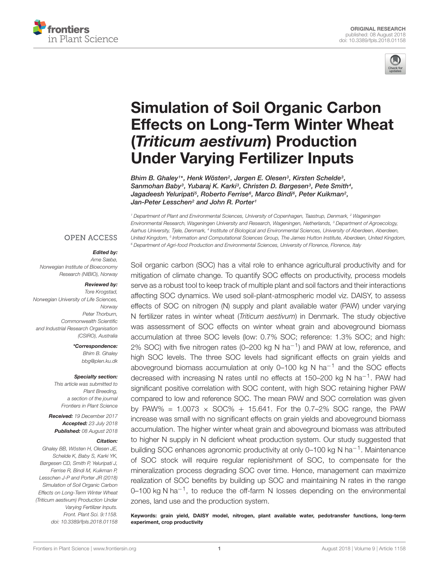



# Simulation of Soil Organic Carbon [Effects on Long-Term Winter Wheat](https://www.frontiersin.org/articles/10.3389/fpls.2018.01158/full) (Triticum aestivum) Production Under Varying Fertilizer Inputs

[Bhim B. Ghaley](http://loop.frontiersin.org/people/289227/overview)1\*, Henk Wösten<sup>2</sup>, Jørgen E. Olesen<sup>3</sup>, Kirsten Schelde<sup>3</sup>, Sanmohan Baby<sup>3</sup>, [Yubaraj K. Karki](http://loop.frontiersin.org/people/548095/overview)<sup>3</sup>, Christen D. Børgesen<sup>3</sup>, [Pete Smith](http://loop.frontiersin.org/people/299899/overview)<sup>4</sup>, Jagadeesh Yeluripati<sup>5</sup>, [Roberto Ferrise](http://loop.frontiersin.org/people/530363/overview)<sup>6</sup>, [Marco Bindi](http://loop.frontiersin.org/people/143387/overview)<sup>6</sup>, Peter Kuikman<sup>2</sup>, Jan-Peter Lesschen<sup>2</sup> and [John R. Porter](http://loop.frontiersin.org/people/199533/overview)<sup>1</sup>

<sup>1</sup> Department of Plant and Environmental Sciences, University of Copenhagen, Taastrup, Denmark, <sup>2</sup> Wageningen Environmental Research, Wageningen University and Research, Wageningen, Netherlands, <sup>3</sup> Department of Agroecology, Aarhus University, Tjele, Denmark, <sup>4</sup> Institute of Biological and Environmental Sciences, University of Aberdeen, Aberdeen, United Kingdom, <sup>5</sup> Information and Computational Sciences Group, The James Hutton Institute, Aberdeen, United Kingdom, <sup>6</sup> Department of Agri-food Production and Environmental Sciences, University of Florence, Florence, Italy

#### **OPEN ACCESS**

#### Edited by:

Arne Sæbø, Norwegian Institute of Bioeconomy Research (NIBIO), Norway

#### Reviewed by:

Tore Krogstad, Norwegian University of Life Sciences, Norway Peter Thorburn, Commonwealth Scientific and Industrial Research Organisation (CSIRO), Australia

> \*Correspondence: Bhim B. Ghaley bbg@plen.ku.dk

#### Specialty section:

This article was submitted to Plant Breeding, a section of the journal Frontiers in Plant Science

Received: 19 December 2017 Accepted: 23 July 2018 Published: 08 August 2018

#### Citation:

Ghaley BB, Wösten H, Olesen JE, Schelde K, Baby S, Karki YK, Børgesen CD, Smith P, Yeluripati J, Ferrise R, Bindi M, Kuikman P, Lesschen J-P and Porter JR (2018) Simulation of Soil Organic Carbon Effects on Long-Term Winter Wheat (Triticum aestivum) Production Under Varying Fertilizer Inputs. Front. Plant Sci. 9:1158. doi: [10.3389/fpls.2018.01158](https://doi.org/10.3389/fpls.2018.01158) Soil organic carbon (SOC) has a vital role to enhance agricultural productivity and for mitigation of climate change. To quantify SOC effects on productivity, process models serve as a robust tool to keep track of multiple plant and soil factors and their interactions affecting SOC dynamics. We used soil-plant-atmospheric model viz. DAISY, to assess effects of SOC on nitrogen (N) supply and plant available water (PAW) under varying N fertilizer rates in winter wheat (Triticum aestivum) in Denmark. The study objective was assessment of SOC effects on winter wheat grain and aboveground biomass accumulation at three SOC levels (low: 0.7% SOC; reference: 1.3% SOC; and high: 2% SOC) with five nitrogen rates (0–200 kg N ha<sup>-1</sup>) and PAW at low, reference, and high SOC levels. The three SOC levels had significant effects on grain yields and aboveground biomass accumulation at only 0–100 kg N ha−<sup>1</sup> and the SOC effects decreased with increasing N rates until no effects at 150-200 kg N ha<sup>-1</sup>. PAW had significant positive correlation with SOC content, with high SOC retaining higher PAW compared to low and reference SOC. The mean PAW and SOC correlation was given by PAW% =  $1.0073 \times SOC\% + 15.641$ . For the 0.7-2% SOC range, the PAW increase was small with no significant effects on grain yields and aboveground biomass accumulation. The higher winter wheat grain and aboveground biomass was attributed to higher N supply in N deficient wheat production system. Our study suggested that building SOC enhances agronomic productivity at only 0–100 kg N ha<sup>-1</sup>. Maintenance of SOC stock will require regular replenishment of SOC, to compensate for the mineralization process degrading SOC over time. Hence, management can maximize realization of SOC benefits by building up SOC and maintaining N rates in the range 0–100 kg N ha<sup>-1</sup>, to reduce the off-farm N losses depending on the environmental zones, land use and the production system.

Keywords: grain yield, DAISY model, nitrogen, plant available water, pedotransfer functions, long-term experiment, crop productivity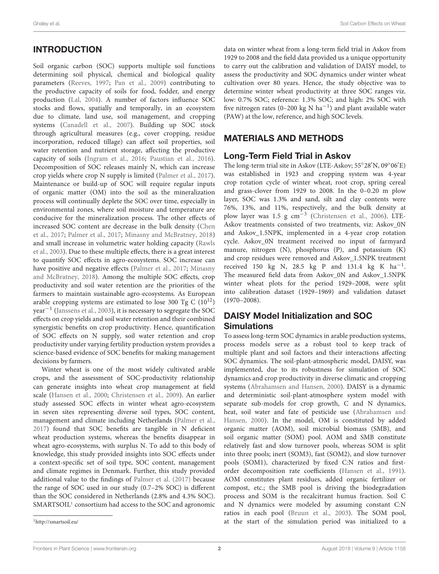# INTRODUCTION

Soil organic carbon (SOC) supports multiple soil functions determining soil physical, chemical and biological quality parameters [\(Reeves,](#page-8-0) [1997;](#page-8-0) [Pan et al.,](#page-8-1) [2009\)](#page-8-1) contributing to the productive capacity of soils for food, fodder, and energy production [\(Lal,](#page-8-2) [2004\)](#page-8-2). A number of factors influence SOC stocks and flows, spatially and temporally, in an ecosystem due to climate, land use, soil management, and cropping systems [\(Canadell et al.,](#page-7-0) [2007\)](#page-7-0). Building up SOC stock through agricultural measures (e.g., cover cropping, residue incorporation, reduced tillage) can affect soil properties, soil water retention and nutrient storage, affecting the productive capacity of soils [\(Ingram et al.,](#page-8-3) [2016;](#page-8-3) [Paustian et al.,](#page-8-4) [2016\)](#page-8-4). Decomposition of SOC releases mainly N, which can increase crop yields where crop N supply is limited [\(Palmer et al.,](#page-8-5) [2017\)](#page-8-5). Maintenance or build-up of SOC will require regular inputs of organic matter (OM) into the soil as the mineralization process will continually deplete the SOC over time, especially in environmental zones, where soil moisture and temperature are conducive for the mineralization process. The other effects of increased SOC content are decrease in the bulk density [\(Chen](#page-7-1) [et al.,](#page-7-1) [2017;](#page-7-1) [Palmer et al.,](#page-8-5) [2017;](#page-8-5) [Minasny and McBratney,](#page-8-6) [2018\)](#page-8-6) and small increase in volumetric water holding capacity [\(Rawls](#page-8-7) [et al.,](#page-8-7) [2003\)](#page-8-7). Due to these multiple effects, there is a great interest to quantify SOC effects in agro-ecosystems. SOC increase can have positive and negative effects [\(Palmer et al.,](#page-8-5) [2017;](#page-8-5) [Minasny](#page-8-6) [and McBratney,](#page-8-6) [2018\)](#page-8-6). Among the multiple SOC effects, crop productivity and soil water retention are the priorities of the farmers to maintain sustainable agro-ecosystems. As European arable cropping systems are estimated to lose 300 Tg C  $(10^{12})$ year−<sup>1</sup> [\(Janssens et al.,](#page-8-8) [2003\)](#page-8-8), it is necessary to segregate the SOC effects on crop yields and soil water retention and their combined synergistic benefits on crop productivity. Hence, quantification of SOC effects on N supply, soil water retention and crop productivity under varying fertility production system provides a science-based evidence of SOC benefits for making management decisions by farmers.

Winter wheat is one of the most widely cultivated arable crops, and the assessment of SOC-productivity relationship can generate insights into wheat crop management at field scale [\(Hansen et al.,](#page-8-9) [2000;](#page-8-9) [Christensen et al.,](#page-7-2) [2009\)](#page-7-2). An earlier study assessed SOC effects in winter wheat agro-ecosystem in seven sites representing diverse soil types, SOC content, management and climate including Netherlands [\(Palmer et al.,](#page-8-5) [2017\)](#page-8-5) found that SOC benefits are tangible in N deficient wheat production systems, whereas the benefits disappear in wheat agro-ecosystems, with surplus N. To add to this body of knowledge, this study provided insights into SOC effects under a context-specific set of soil type, SOC content, management and climate regimes in Denmark. Further, this study provided additional value to the findings of [Palmer et al.](#page-8-5) [\(2017\)](#page-8-5) because the range of SOC used in our study (0.7–2% SOC) is different than the SOC considered in Netherlands (2.8% and 4.3% SOC). SMARTSOIL<sup>[1](#page-1-0)</sup> consortium had access to the SOC and agronomic

data on winter wheat from a long-term field trial in Askov from 1929 to 2008 and the field data provided us a unique opportunity to carry out the calibration and validation of DAISY model, to assess the productivity and SOC dynamics under winter wheat cultivation over 80 years. Hence, the study objective was to determine winter wheat productivity at three SOC ranges viz. low: 0.7% SOC; reference: 1.3% SOC; and high: 2% SOC with five nitrogen rates (0-200 kg N  $ha^{-1}$ ) and plant available water (PAW) at the low, reference, and high SOC levels.

### MATERIALS AND METHODS

### Long-Term Field Trial in Askov

The long-term trial site in Askov (LTE-Askov; 55°28'N, 09°06'E) was established in 1923 and cropping system was 4-year crop rotation cycle of winter wheat, root crop, spring cereal and grass-clover from 1929 to 2008. In the 0–0.20 m plow layer, SOC was 1.3% and sand, silt and clay contents were 76%, 13%, and 11%, respectively, and the bulk density at plow layer was 1.5 g cm<sup>-3</sup> [\(Christensen et al.,](#page-7-3) [2006\)](#page-7-3). LTE-Askov treatments consisted of two treatments, viz: Askov\_0N and Askov\_1.5NPK, implemented in a 4-year crop rotation cycle. Askov\_0N treatment received no input of farmyard manure, nitrogen (N), phosphorus (P), and potassium (K) and crop residues were removed and Askov\_1.5NPK treatment received 150 kg N, 28.5 kg P and 131.4 kg K  $ha^{-1}$ . The measured field data from Askov\_0N and Askov\_1.5NPK winter wheat plots for the period 1929–2008, were split into calibration dataset (1929–1969) and validation dataset (1970–2008).

### DAISY Model Initialization and SOC **Simulations**

To assess long-term SOC dynamics in arable production systems, process models serve as a robust tool to keep track of multiple plant and soil factors and their interactions affecting SOC dynamics. The soil-plant-atmospheric model, DAISY, was implemented, due to its robustness for simulation of SOC dynamics and crop productivity in diverse climatic and cropping systems [\(Abrahamsen and Hansen,](#page-7-4) [2000\)](#page-7-4). DAISY is a dynamic and deterministic soil-plant-atmosphere system model with separate sub-models for crop growth, C and N dynamics, heat, soil water and fate of pesticide use [\(Abrahamsen and](#page-7-4) [Hansen,](#page-7-4) [2000\)](#page-7-4). In the model, OM is constituted by added organic matter (AOM), soil microbial biomass (SMB), and soil organic matter (SOM) pool. AOM and SMB constitute relatively fast and slow turnover pools, whereas SOM is split into three pools; inert (SOM3), fast (SOM2), and slow turnover pools (SOM1), characterized by fixed C:N ratios and firstorder decomposition rate coefficients [\(Hansen et al.,](#page-8-10) [1991\)](#page-8-10). AOM constitutes plant residues, added organic fertilizer or compost, etc.; the SMB pool is driving the biodegradation process and SOM is the recalcitrant humus fraction. Soil C and N dynamics were modeled by assuming constant C:N ratios in each pool [\(Bruun et al.,](#page-7-5) [2003\)](#page-7-5). The SOM pool, at the start of the simulation period was initialized to a

<span id="page-1-0"></span><sup>1</sup><http://smartsoil.eu/>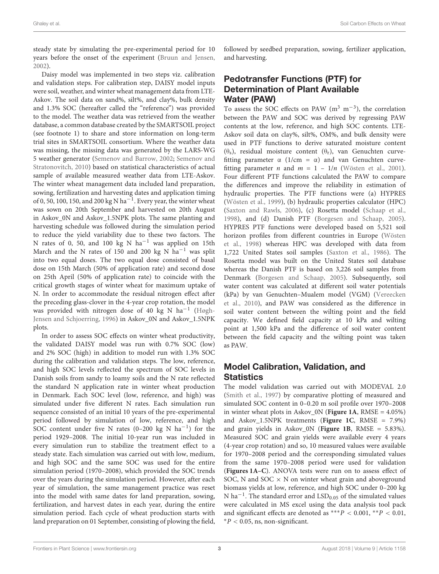steady state by simulating the pre-experimental period for 10 years before the onset of the experiment [\(Bruun and Jensen,](#page-7-6) [2002\)](#page-7-6).

Daisy model was implemented in two steps viz. calibration and validation steps. For calibration step, DAISY model inputs were soil, weather, and winter wheat management data from LTE-Askov. The soil data on sand%, silt%, and clay%, bulk density and 1.3% SOC (hereafter called the "reference") was provided to the model. The weather data was retrieved from the weather database, a common database created by the SMARTSOIL project (see footnote 1) to share and store information on long-term trial sites in SMARTSOIL consortium. Where the weather data was missing, the missing data was generated by the LARS-WG 5 weather generator [\(Semenov and Barrow,](#page-8-11) [2002;](#page-8-11) [Semenov and](#page-8-12) [Stratonovitch,](#page-8-12) [2010\)](#page-8-12) based on statistical characteristics of actual sample of available measured weather data from LTE-Askov. The winter wheat management data included land preparation, sowing, fertilization and harvesting dates and application timing of 0, 50, 100, 150, and 200 kg N ha−<sup>1</sup> . Every year, the winter wheat was sown on 20th September and harvested on 20th August in Askov\_0N and Askov\_1.5NPK plots. The same planting and harvesting schedule was followed during the simulation period to reduce the yield variability due to these two factors. The N rates of 0, 50, and 100 kg N ha−<sup>1</sup> was applied on 15th March and the N rates of 150 and 200 kg N ha<sup>-1</sup> was split into two equal doses. The two equal dose consisted of basal dose on 15th March (50% of application rate) and second dose on 25th April (50% of application rate) to coincide with the critical growth stages of winter wheat for maximum uptake of N. In order to accommodate the residual nitrogen effect after the preceding glass-clover in the 4-year crop rotation, the model was provided with nitrogen dose of 40 kg N ha<sup>-1</sup> [\(Høgh-](#page-8-13)[Jensen and Schjoerring,](#page-8-13) [1996\)](#page-8-13) in Askov\_0N and Askov\_1.5NPK plots.

In order to assess SOC effects on winter wheat productivity, the validated DAISY model was run with 0.7% SOC (low) and 2% SOC (high) in addition to model run with 1.3% SOC during the calibration and validation steps. The low, reference, and high SOC levels reflected the spectrum of SOC levels in Danish soils from sandy to loamy soils and the N rate reflected the standard N application rate in winter wheat production in Denmark. Each SOC level (low, reference, and high) was simulated under five different N rates. Each simulation run sequence consisted of an initial 10 years of the pre-experimental period followed by simulation of low, reference, and high SOC content under five N rates (0–200 kg N ha−<sup>1</sup> ) for the period 1929–2008. The initial 10-year run was included in every simulation run to stabilize the treatment effect to a steady state. Each simulation was carried out with low, medium, and high SOC and the same SOC was used for the entire simulation period (1970–2008), which provided the SOC trends over the years during the simulation period. However, after each year of simulation, the same management practice was reset into the model with same dates for land preparation, sowing, fertilization, and harvest dates in each year, during the entire simulation period. Each cycle of wheat production starts with land preparation on 01 September, consisting of plowing the field,

followed by seedbed preparation, sowing, fertilizer application, and harvesting.

### Pedotransfer Functions (PTF) for Determination of Plant Available Water (PAW)

To assess the SOC effects on PAW  $(m^3 \ m^{-3})$ , the correlation between the PAW and SOC was derived by regressing PAW contents at the low, reference, and high SOC contents. LTE-Askov soil data on clay%, silt%, OM%, and bulk density were used in PTF functions to derive saturated moisture content (θs), residual moisture content (θr), van Genuchten curvefitting parameter  $\alpha$  (1/cm =  $\alpha$ ) and van Genuchten curvefitting parameter *n* and  $m = 1 - 1/n$  [\(Wösten et al.,](#page-8-14) [2001\)](#page-8-14). Four different PTF functions calculated the PAW to compare the differences and improve the reliability in estimation of hydraulic properties. The PTF functions were (a) HYPRES [\(Wösten et al.,](#page-8-15) [1999\)](#page-8-15), (b) hydraulic properties calculator (HPC) [\(Saxton and Rawls,](#page-8-16) [2006\)](#page-8-16), (c) Rosetta model [\(Schaap et al.,](#page-8-17) [1998\)](#page-8-17), and (d) Danish PTF [\(Borgesen and Schaap,](#page-7-7) [2005\)](#page-7-7). HYPRES PTF functions were developed based on 5,521 soil horizon profiles from different countries in Europe [\(Wösten](#page-8-18) [et al.,](#page-8-18) [1998\)](#page-8-18) whereas HPC was developed with data from 1,722 United States soil samples [\(Saxton et al.,](#page-8-19) [1986\)](#page-8-19). The Rosetta model was built on the United States soil database whereas the Danish PTF is based on 3,226 soil samples from Denmark [\(Borgesen and Schaap,](#page-7-7) [2005\)](#page-7-7). Subsequently, soil water content was calculated at different soil water potentials (kPa) by van Genuchten–Mualem model (VGM) [\(Vereecken](#page-8-20) [et al.,](#page-8-20) [2010\)](#page-8-20), and PAW was considered as the difference in soil water content between the wilting point and the field capacity. We defined field capacity at 10 kPa and wilting point at 1,500 kPa and the difference of soil water content between the field capacity and the wilting point was taken as PAW.

### Model Calibration, Validation, and Statistics

The model validation was carried out with MODEVAL 2.0 [\(Smith et al.,](#page-8-21) [1997\)](#page-8-21) by comparative plotting of measured and simulated SOC content in 0–0.20 m soil profile over 1970–2008 in winter wheat plots in Askov\_0N (**[Figure 1A](#page-3-0)**, RMSE = 4.05%) and Askov\_1.5NPK treatments (**[Figure 1C](#page-3-0)**, RMSE = 7.9%) and grain yields in Askov\_0N (**[Figure 1B](#page-3-0)**, RMSE = 5.83%). Measured SOC and grain yields were available every 4 years (4-year crop rotation) and so, 10 measured values were available for 1970–2008 period and the corresponding simulated values from the same 1970–2008 period were used for validation (**[Figures 1A–C](#page-3-0)**). ANOVA tests were run on to assess effect of SOC, N and SOC  $\times$  N on winter wheat grain and aboveground biomass yields at low, reference, and high SOC under 0–200 kg N ha<sup>-1</sup>. The standard error and LSD<sub>0.05</sub> of the simulated values were calculated in MS excel using the data analysis tool pack and significant effects are denoted as \*\*\* $P < 0.001$ , \*\* $P < 0.01$ ,  $*P < 0.05$ , ns, non-significant.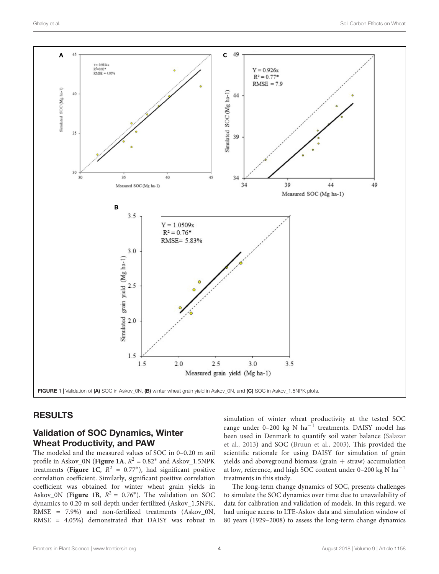

#### <span id="page-3-0"></span>RESULTS

#### Validation of SOC Dynamics, Winter Wheat Productivity, and PAW

The modeled and the measured values of SOC in 0–0.20 m soil profile in Askov\_0N (**[Figure 1A](#page-3-0)**,  $R^2 = 0.82$ <sup>\*</sup> and Askov\_1.5NPK treatments ([Figure 1C](#page-3-0),  $R^2 = 0.77^*$ ), had significant positive correlation coefficient. Similarly, significant positive correlation coefficient was obtained for winter wheat grain yields in Askov\_0N ([Figure 1B](#page-3-0),  $R^2 = 0.76^*$ ). The validation on SOC dynamics to 0.20 m soil depth under fertilized (Askov\_1.5NPK, RMSE = 7.9%) and non-fertilized treatments (Askov\_0N, RMSE = 4.05%) demonstrated that DAISY was robust in

simulation of winter wheat productivity at the tested SOC range under 0–200 kg N ha−<sup>1</sup> treatments. DAISY model has been used in Denmark to quantify soil water balance [\(Salazar](#page-8-22) [et al.,](#page-8-22) [2013\)](#page-8-22) and SOC [\(Bruun et al.,](#page-7-5) [2003\)](#page-7-5). This provided the scientific rationale for using DAISY for simulation of grain yields and aboveground biomass (grain  $+$  straw) accumulation at low, reference, and high SOC content under 0–200 kg N ha<sup>-1</sup> treatments in this study.

The long-term change dynamics of SOC, presents challenges to simulate the SOC dynamics over time due to unavailability of data for calibration and validation of models. In this regard, we had unique access to LTE-Askov data and simulation window of 80 years (1929–2008) to assess the long-term change dynamics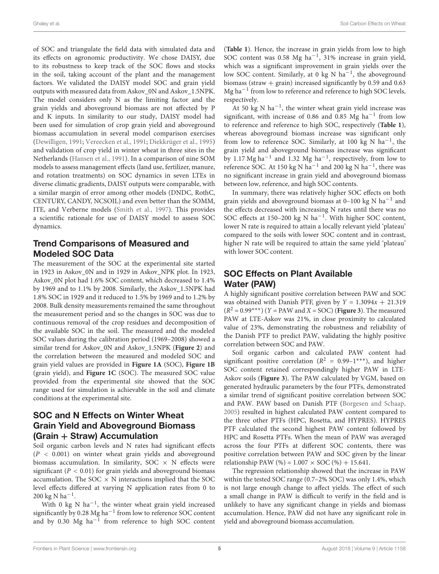of SOC and triangulate the field data with simulated data and its effects on agronomic productivity. We chose DAISY, due to its robustness to keep track of the SOC flows and stocks in the soil, taking account of the plant and the management factors. We validated the DAISY model SOC and grain yield outputs with measured data from Askov\_0N and Askov\_1.5NPK. The model considers only N as the limiting factor and the grain yields and aboveground biomass are not affected by P and K inputs. In similarity to our study, DAISY model had been used for simulation of crop grain yield and aboveground biomass accumulation in several model comparison exercises [\(Dewilligen,](#page-7-8) [1991;](#page-7-8) [Vereecken et al.,](#page-8-23) [1991;](#page-8-23) [Diekkrüger et al.,](#page-7-9) [1995\)](#page-7-9) and validation of crop yield in winter wheat in three sites in the Netherlands [\(Hansen et al.,](#page-8-10) [1991\)](#page-8-10). In a comparison of nine SOM models to assess management effects (land use, fertilizer, manure, and rotation treatments) on SOC dynamics in seven LTEs in diverse climatic gradients, DAISY outputs were comparable, with a similar margin of error among other models (DNDC, RothC, CENTURY, CANDY, NCSOIL) and even better than the SOMM, ITE, and Verberne models [\(Smith et al.,](#page-8-21) [1997\)](#page-8-21). This provides a scientific rationale for use of DAISY model to assess SOC dynamics.

#### Trend Comparisons of Measured and Modeled SOC Data

The measurement of the SOC at the experimental site started in 1923 in Askov\_0N and in 1929 in Askov\_NPK plot. In 1923, Askov\_0N plot had 1.6% SOC content, which decreased to 1.4% by 1969 and to 1.1% by 2008. Similarly, the Askov\_1.5NPK had 1.8% SOC in 1929 and it reduced to 1.5% by 1969 and to 1.2% by 2008. Bulk density measurements remained the same throughout the measurement period and so the changes in SOC was due to continuous removal of the crop residues and decomposition of the available SOC in the soil. The measured and the modeled SOC values during the calibration period (1969–2008) showed a similar trend for Askov\_0N and Askov\_1.5NPK (**[Figure 2](#page-5-0)**) and the correlation between the measured and modeled SOC and grain yield values are provided in **[Figure 1A](#page-3-0)** (SOC), **[Figure 1B](#page-3-0)** (grain yield), and **[Figure 1C](#page-3-0)** (SOC). The measured SOC value provided from the experimental site showed that the SOC range used for simulation is achievable in the soil and climate conditions at the experimental site.

#### SOC and N Effects on Winter Wheat Grain Yield and Aboveground Biomass (Grain + Straw) Accumulation

Soil organic carbon levels and N rates had significant effects  $(P < 0.001)$  on winter wheat grain yields and aboveground biomass accumulation. In similarity, SOC  $\times$  N effects were significant ( $P < 0.01$ ) for grain yields and aboveground biomass accumulation. The  $SOC \times N$  interactions implied that the SOC level effects differed at varying N application rates from 0 to  $200 \text{ kg N ha}^{-1}$ .

With 0 kg N ha<sup>-1</sup>, the winter wheat grain yield increased significantly by 0.28 Mg ha−<sup>1</sup> from low to reference SOC content and by 0.30 Mg ha−<sup>1</sup> from reference to high SOC content (**[Table 1](#page-6-0)**). Hence, the increase in grain yields from low to high SOC content was 0.58 Mg ha−<sup>1</sup> , 31% increase in grain yield, which was a significant improvement in grain yields over the low SOC content. Similarly, at 0 kg N ha<sup>-1</sup>, the aboveground biomass (straw  $+$  grain) increased significantly by 0.59 and 0.63 Mg ha−<sup>1</sup> from low to reference and reference to high SOC levels, respectively.

At 50 kg N ha−<sup>1</sup> , the winter wheat grain yield increase was significant, with increase of 0.86 and 0.85 Mg ha<sup>-1</sup> from low to reference and reference to high SOC, respectively (**[Table 1](#page-6-0)**), whereas aboveground biomass increase was significant only from low to reference SOC. Similarly, at 100 kg N ha<sup>-1</sup>, the grain yield and aboveground biomass increase was significant by 1.17 Mg ha−<sup>1</sup> and 1.32 Mg ha−<sup>1</sup> , respectively, from low to reference SOC. At 150 kg N ha<sup>-1</sup> and 200 kg N ha<sup>-1</sup>, there was no significant increase in grain yield and aboveground biomass between low, reference, and high SOC contents.

In summary, there was relatively higher SOC effects on both grain yields and aboveground biomass at 0–100 kg N ha−<sup>1</sup> and the effects decreased with increasing N rates until there was no SOC effects at 150–200 kg N ha−<sup>1</sup> . With higher SOC content, lower N rate is required to attain a locally relevant yield 'plateau' compared to the soils with lower SOC content and in contrast, higher N rate will be required to attain the same yield 'plateau' with lower SOC content.

### SOC Effects on Plant Available Water (PAW)

A highly significant positive correlation between PAW and SOC was obtained with Danish PTF, given by  $Y = 1.3094x + 21.319$  $(R^2 = 0.99^{***})$  (*Y* = PAW and *X* = SOC) (**[Figure 3](#page-6-1)**). The measured PAW at LTE-Askov was 21%, in close proximity to calculated value of 23%, demonstrating the robustness and reliability of the Danish PTF to predict PAW, validating the highly positive correlation between SOC and PAW.

Soil organic carbon and calculated PAW content had significant positive correlation ( $R^2 = 0.99 - 1***$ ), and higher SOC content retained correspondingly higher PAW in LTE-Askov soils (**[Figure 3](#page-6-1)**). The PAW calculated by VGM, based on generated hydraulic parameters by the four PTFs, demonstrated a similar trend of significant positive correlation between SOC and PAW. PAW based on Danish PTF [\(Borgesen and Schaap,](#page-7-7) [2005\)](#page-7-7) resulted in highest calculated PAW content compared to the three other PTFs (HPC, Rosetta, and HYPRES). HYPRES PTF calculated the second highest PAW content followed by HPC and Rosetta PTFs. When the mean of PAW was averaged across the four PTFs at different SOC contents, there was positive correlation between PAW and SOC given by the linear relationship PAW (%) =  $1.007 \times$  SOC (%) + 15.641.

The regression relationship showed that the increase in PAW within the tested SOC range (0.7–2% SOC) was only 1.4%, which is not large enough change to affect yields. The effect of such a small change in PAW is difficult to verify in the field and is unlikely to have any significant change in yields and biomass accumulation. Hence, PAW did not have any significant role in yield and aboveground biomass accumulation.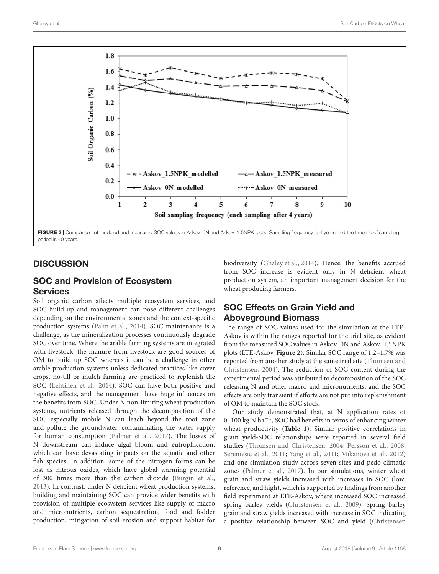

## <span id="page-5-0"></span>**DISCUSSION**

#### SOC and Provision of Ecosystem **Services**

Soil organic carbon affects multiple ecosystem services, and SOC build-up and management can pose different challenges depending on the environmental zones and the context-specific production systems [\(Palm et al.,](#page-8-24) [2014\)](#page-8-24). SOC maintenance is a challenge, as the mineralization processes continuously degrade SOC over time. Where the arable farming systems are integrated with livestock, the manure from livestock are good sources of OM to build up SOC whereas it can be a challenge in other arable production systems unless dedicated practices like cover crops, no-till or mulch farming are practiced to replenish the SOC [\(Lehtinen et al.,](#page-8-25) [2014\)](#page-8-25). SOC can have both positive and negative effects, and the management have huge influences on the benefits from SOC. Under N non-limiting wheat production systems, nutrients released through the decomposition of the SOC especially mobile N can leach beyond the root zone and pollute the groundwater, contaminating the water supply for human consumption [\(Palmer et al.,](#page-8-5) [2017\)](#page-8-5). The losses of N downstream can induce algal bloom and eutrophication, which can have devastating impacts on the aquatic and other fish species. In addition, some of the nitrogen forms can be lost as nitrous oxides, which have global warming potential of 300 times more than the carbon dioxide [\(Burgin et al.,](#page-7-10) [2013\)](#page-7-10). In contrast, under N deficient wheat production systems, building and maintaining SOC can provide wider benefits with provision of multiple ecosystem services like supply of macro and micronutrients, carbon sequestration, food and fodder production, mitigation of soil erosion and support habitat for

biodiversity [\(Ghaley et al.,](#page-8-26) [2014\)](#page-8-26). Hence, the benefits accrued from SOC increase is evident only in N deficient wheat production system, an important management decision for the wheat producing farmers.

## SOC Effects on Grain Yield and Aboveground Biomass

The range of SOC values used for the simulation at the LTE-Askov is within the ranges reported for the trial site, as evident from the measured SOC values in Askov\_0N and Askov\_1.5NPK plots (LTE-Askov, **[Figure 2](#page-5-0)**). Similar SOC range of 1.2–1.7% was reported from another study at the same trial site [\(Thomsen and](#page-8-27) [Christensen,](#page-8-27) [2004\)](#page-8-27). The reduction of SOC content during the experimental period was attributed to decomposition of the SOC releasing N and other macro and micronutrients, and the SOC effects are only transient if efforts are not put into replenishment of OM to maintain the SOC stock.

Our study demonstrated that, at N application rates of 0–100 kg N ha−<sup>1</sup> , SOC had benefits in terms of enhancing winter wheat productivity (**[Table 1](#page-6-0)**). Similar positive correlations in grain yield-SOC relationships were reported in several field studies [\(Thomsen and Christensen,](#page-8-27) [2004;](#page-8-27) [Persson et al.,](#page-8-28) [2008;](#page-8-28) [Seremesic et al.,](#page-8-29) [2011;](#page-8-29) [Yang et al.,](#page-8-30) [2011;](#page-8-30) [Mikanova et al.,](#page-8-31) [2012\)](#page-8-31) and one simulation study across seven sites and pedo-climatic zones [\(Palmer et al.,](#page-8-5) [2017\)](#page-8-5). In our simulations, winter wheat grain and straw yields increased with increases in SOC (low, reference, and high), which is supported by findings from another field experiment at LTE-Askov, where increased SOC increased spring barley yields [\(Christensen et al.,](#page-7-2) [2009\)](#page-7-2). Spring barley grain and straw yields increased with increase in SOC indicating a positive relationship between SOC and yield [\(Christensen](#page-7-2)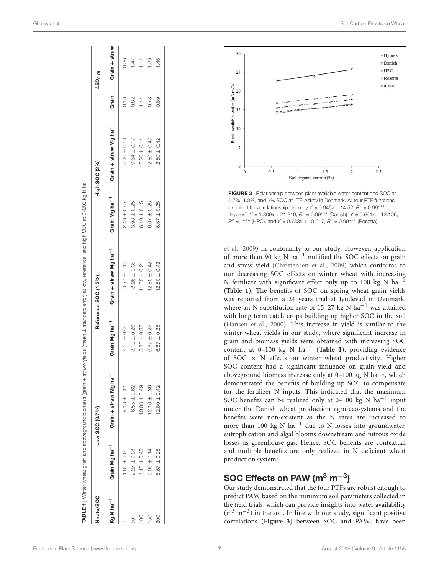| N <sub>rate/</sub> SOC |                           | Low SOC (0.7%)                    |                           | Reference SOC (1.3%)              |                           | High SOC (2%)                     |       | LSD <sub>0.05</sub> |
|------------------------|---------------------------|-----------------------------------|---------------------------|-----------------------------------|---------------------------|-----------------------------------|-------|---------------------|
| Kg N ha <sup>-1</sup>  | Grain Mg ha <sup>-1</sup> | Grain + straw Mg ha <sup>-1</sup> | Grain Mg ha <sup>-1</sup> | Grain + straw Mg ha <sup>-1</sup> | Grain Mg ha <sup>-1</sup> | Grain + straw Mg ha <sup>-1</sup> | Grain | Grain + straw       |
|                        | $1.88 \pm 0.06$           | $4.18 \pm 0.11$                   | $2.16 \pm 0.06$           | $4.77 \pm 0.12$                   | $2.46 \pm 0.07$           | $5.40 \pm 0.14$                   | 0.18  | 0.36                |
|                        | $2.27 \pm 0.28$           | $6.55 \pm 0.62$                   | $3.13 \pm 0.26$           | $8.26 \pm 0.35$                   | $3.98 \pm 0.25$           | $9.64 \pm 0.17$                   | 0.82  | $\overline{47}$     |
| $\frac{1}{2}$          | $4.13 \pm 0.45$           | $0.03 \pm 0.49$                   | $5.30 \pm 0.32$           | $11.35 \pm 0.21$                  | $6.10 \pm 0.15$           | $12.20 \pm 0.14$                  | 1.14  | E                   |
| 150                    | $6.06 \pm 0.14$           | $12.16 \pm 0.36$                  | $6.67 \pm 0.25$           | $12.80 \pm 0.42$                  | $6.67 \pm 0.25$           | $12.80 \pm 0.42$                  | 0.78  | 89                  |
| 200                    | $6.67 \pm 0.25$           | $12.80 \pm 0.42$                  | $6.67 \pm 0.25$           | $12.80 \pm 0.42$                  | $6.67 \pm 0.25$           | $12.80 \pm 0.42$                  | 0.89  | 46                  |





<span id="page-6-1"></span>[et al.](#page-7-2) , [2009\)](#page-7-2) in conformity to our study. However, application of more than 90 kg N  $ha^{-1}$  nullified the SOC effects on grain and straw yield [\(Christensen et al.](#page-7-2) , [2009\)](#page-7-2) which conforms to our decreasing SOC effects on winter wheat with increasing N fertilizer with significant effect only up to 100 kg N  $ha^{-1}$ (**[Table 1](#page-6-0)**). The benefits of SOC on spring wheat grain yields was reported from a 24 years trial at Jyndevad in Denmark, where an N substitution rate of  $15-27$  kg N ha<sup>-1</sup> was attained with long term catch crops building up higher SOC in the soil [\(Hansen et al.,](#page-8-9) [2000\)](#page-8-9). This increase in yield is similar to the winter wheat yields in our study, where significant increase in grain and biomass yields were obtained with increasing SOC content at 0–100 kg N ha − 1 (**[Table 1](#page-6-0)**), providing evidence of SOC  $\times$  N effects on winter wheat productivity. Higher SOC content had a significant influence on grain yield and aboveground biomass increase only at 0-100 kg N ha<sup>-1</sup>, which demonstrated the benefits of building up SOC to compensate for the fertilizer N inputs. This indicated that the maximum SOC benefits can be realized only at  $0-100$  kg N ha<sup>-1</sup> input under the Danish wheat production agro-ecosystems and the benefits were non-existent as the N rates are increased to more than 100 kg N  $ha^{-1}$  due to N losses into groundwater, eutrophication and algal blooms downstream and nitrous oxide losses as greenhouse gas. Hence, SOC benefits are contextual and multiple benefits are only realized in N deficient wheat production systems.

# SOC Effects on PAW (m $^3$  m $^{-3}$ )

<span id="page-6-0"></span>Our study demonstrated that the four PTFs are robust enough to predict PAW based on the minimum soil parameters collected in the field trials, which can provide insights into water availability  $(m<sup>3</sup> m<sup>-3</sup>)$  in the soil. In line with our study, significant positive correlations (**[Figure 3](#page-6-1)**) between SOC and PAW, have been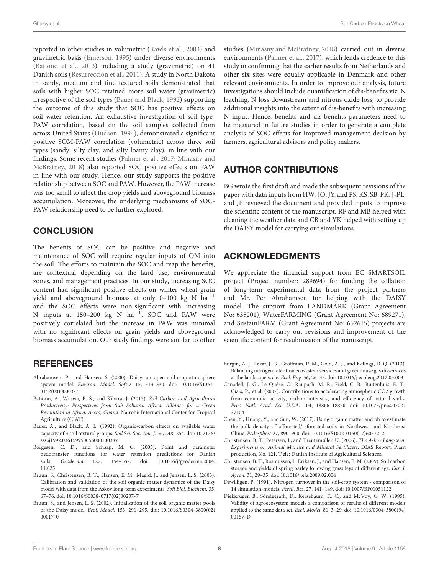reported in other studies in volumetric [\(Rawls et al.,](#page-8-7) [2003\)](#page-8-7) and gravimetric basis [\(Emerson,](#page-8-32) [1995\)](#page-8-32) under diverse environments [\(Bationo et al.,](#page-7-11) [2013\)](#page-7-11) including a study (gravimetric) on 41 Danish soils [\(Resurreccion et al.,](#page-8-33) [2011\)](#page-8-33). A study in North Dakota in sandy, medium and fine textured soils demonstrated that soils with higher SOC retained more soil water (gravimetric) irrespective of the soil types [\(Bauer and Black,](#page-7-12) [1992\)](#page-7-12) supporting the outcome of this study that SOC has positive effects on soil water retention. An exhaustive investigation of soil type-PAW correlation, based on the soil samples collected from across United States [\(Hudson,](#page-8-34) [1994\)](#page-8-34), demonstrated a significant positive SOM-PAW correlation (volumetric) across three soil types (sandy, silty clay, and silty loamy clay), in line with our findings. Some recent studies [\(Palmer et al.,](#page-8-5) [2017;](#page-8-5) [Minasny and](#page-8-6) [McBratney,](#page-8-6) [2018\)](#page-8-6) also reported SOC positive effects on PAW in line with our study. Hence, our study supports the positive relationship between SOC and PAW. However, the PAW increase was too small to affect the crop yields and aboveground biomass accumulation. Moreover, the underlying mechanisms of SOC-PAW relationship need to be further explored.

#### **CONCLUSION**

The benefits of SOC can be positive and negative and maintenance of SOC will require regular inputs of OM into the soil. The efforts to maintain the SOC and reap the benefits, are contextual depending on the land use, environmental zones, and management practices. In our study, increasing SOC content had significant positive effects on winter wheat grain yield and aboveground biomass at only 0–100 kg N ha−<sup>1</sup> and the SOC effects were non-significant with increasing N inputs at 150-200 kg N ha<sup>-1</sup>. SOC and PAW were positively correlated but the increase in PAW was minimal with no significant effects on grain yields and aboveground biomass accumulation. Our study findings were similar to other

#### **REFERENCES**

- <span id="page-7-4"></span>Abrahamsen, P., and Hansen, S. (2000). Daisy: an open soil-crop-atmosphere system model. Environ. Model. Softw. 15, 313–330. [doi: 10.1016/S1364-](https://doi.org/10.1016/S1364-8152(00)00003-7) [8152\(00\)00003-7](https://doi.org/10.1016/S1364-8152(00)00003-7)
- <span id="page-7-11"></span>Bationo, A., Waswa, B. S., and Kihara, J. (2013). Soil Carbon and Agricultural Productivity: Perspectives from Sub Saharan Africa. Alliance for a Green Revolution in Africa, Accra, Ghana. Nairobi: International Center for Tropical Agriculture (CIAT).
- <span id="page-7-12"></span>Bauer, A., and Black, A. L. (1992). Organic-carbon effects on available water capacity of 3 soil textural groups. Soil Sci. Soc. Am. J. 56, 248–254. [doi: 10.2136/](https://doi.org/10.2136/sssaj1992.03615995005600010038x) [sssaj1992.03615995005600010038x](https://doi.org/10.2136/sssaj1992.03615995005600010038x)
- <span id="page-7-7"></span>Borgesen, C. D., and Schaap, M. G. (2005). Point and parameter pedotransfer functions for water retention predictions for Danish soils. Geoderma 127, 154–167. [doi: 10.1016/j/geoderma.2004.](https://doi.org/10.1016/j/geoderma.2004.11.025) [11.025](https://doi.org/10.1016/j/geoderma.2004.11.025)
- <span id="page-7-5"></span>Bruun, S., Christensen, B. T., Hansen, E. M., Magid, J., and Jensen, L. S. (2003). Calibration and validation of the soil organic matter dynamics of the Daisy model with data from the Askov long-term experiments. Soil Biol. Biochem. 35, 67–76. [doi: 10.1016/S0038-0717\(02\)00237-7](https://doi.org/10.1016/S0038-0717(02)00237-7)
- <span id="page-7-6"></span>Bruun, S., and Jensen, L. S. (2002). Initialisation of the soil organic matter pools of the Daisy model. Ecol. Model. 153, 291–295. [doi: 10.1016/S0304-3800\(02\)](https://doi.org/10.1016/S0304-3800(02)00017-0) [00017-0](https://doi.org/10.1016/S0304-3800(02)00017-0)

studies [\(Minasny and McBratney,](#page-8-6) [2018\)](#page-8-6) carried out in diverse environments [\(Palmer et al.,](#page-8-5) [2017\)](#page-8-5), which lends credence to this study in confirming that the earlier results from Netherlands and other six sites were equally applicable in Denmark and other relevant environments. In order to improve our analysis, future investigations should include quantification of dis-benefits viz. N leaching, N loss downstream and nitrous oxide loss, to provide additional insights into the extent of dis-benefits with increasing N input. Hence, benefits and dis-benefits parameters need to be measured in future studies in order to generate a complete analysis of SOC effects for improved management decision by farmers, agricultural advisors and policy makers.

#### AUTHOR CONTRIBUTIONS

BG wrote the first draft and made the subsequent revisions of the paper with data inputs from HW, JO, JY, and PS. KS, SB, PK, J-PL, and JP reviewed the document and provided inputs to improve the scientific content of the manuscript. RF and MB helped with cleaning the weather data and CB and YK helped with setting up the DAISY model for carrying out simulations.

#### ACKNOWLEDGMENTS

We appreciate the financial support from EC SMARTSOIL project (Project number: 289694) for funding the collation of long-term experimental data from the project partners and Mr. Per Abrahamsen for helping with the DAISY model. The support from LANDMARK (Grant Agreement No: 635201), WaterFARMING (Grant Agreement No: 689271), and SustainFARM (Grant Agreement No: 652615) projects are acknowledged to carry out revisions and improvement of the scientific content for resubmission of the manuscript.

- <span id="page-7-10"></span>Burgin, A. J., Lazar, J. G., Groffman, P. M., Gold, A. J., and Kellogg, D. Q. (2013). Balancing nitrogen retention ecosystem services and greenhouse gas disservices at the landscape scale. Ecol. Eng. 56, 26–35. [doi: 10.1016/j.ecoleng.2012.05.003](https://doi.org/10.1016/j.ecoleng.2012.05.003)
- <span id="page-7-0"></span>Canadell, J. G., Le Quéré, C., Raupach, M. R., Field, C. B., Buitenhuis, E. T., Ciais, P., et al. (2007). Contributions to accelerating atmospheric CO2 growth from economic activity, carbon intensity, and efficiency of natural sinks. Proc. Natl. Acad. Sci. U.S.A. 104, 18866–18870. [doi: 10.1073/pnas.07027](https://doi.org/10.1073/pnas.0702737104) [37104](https://doi.org/10.1073/pnas.0702737104)
- <span id="page-7-1"></span>Chen, Y., Huang, Y., and Sun, W. (2017). Using organic matter and ph to estimate the bulk density of afforested/reforested soils in Northwest and Northeast China. Pedosphere 27, 890–900. [doi: 10.1016/S1002-0160\(17\)60372-2](https://doi.org/10.1016/S1002-0160(17)60372-2)
- <span id="page-7-3"></span>Christensen, B. T., Petersen, J., and Trentemøller, U. (2006). The Askov Long-term Experiments on Animal Manure and Mineral Fertilizers. DIAS Report: Plant production, No. 121. Tjele: Danish Institute of Agricultural Sciences.
- <span id="page-7-2"></span>Christensen, B. T., Rasmussen, J., Eriksen, J., and Hansen, E. M. (2009). Soil carbon storage and yields of spring barley following grass leys of different age. Eur. J. Agron. 31, 29–35. [doi: 10.1016/j.eja.2009.02.004](https://doi.org/10.1016/j.eja.2009.02.004)
- <span id="page-7-8"></span>Dewilligen, P. (1991). Nitrogen turnover in the soil-crop system - comparison of 14 simulation-models. Fertil. Res. 27, 141–149. [doi: 10.1007/BF01051122](https://doi.org/10.1007/BF01051122)
- <span id="page-7-9"></span>Diekkrüger, B., Söndgerath, D., Kersebaum, K. C., and McVoy, C. W. (1995). Validity of agroecosystem models a comparison of results of different models applied to the same data set. Ecol. Model. 81, 3–29. [doi: 10.1016/0304-3800\(94\)](https://doi.org/10.1016/0304-3800(94)00157-D) [00157-D](https://doi.org/10.1016/0304-3800(94)00157-D)